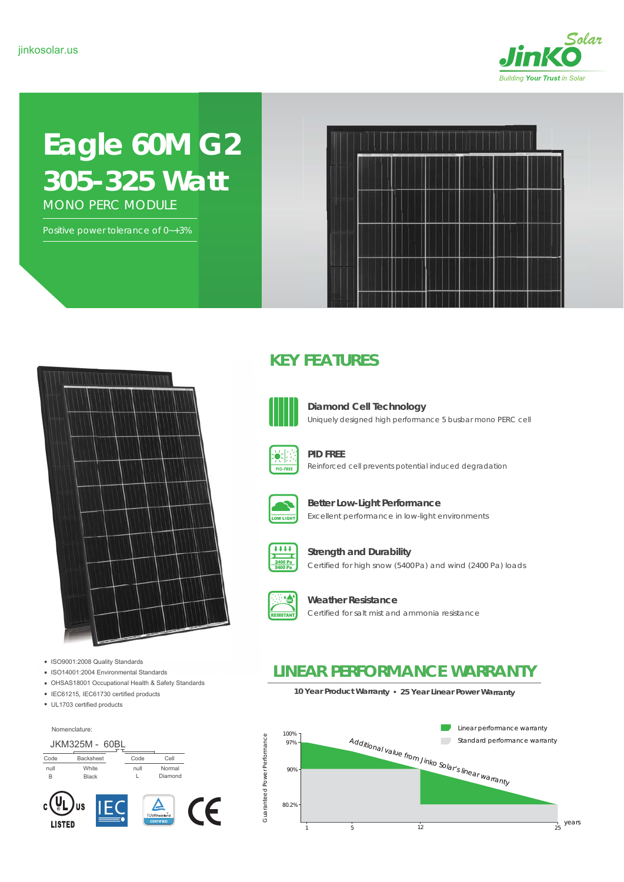

# **Eagle 60M G2** *305-325 Watt* MONO PERC MODULE

Positive power tolerance of 0-+3%





- ISO9001:2008 Quality Standards
- ISO14001:2004 Environmental Standards
- OHSAS18001 Occupational Health & Safety Standards
- IEC61215, IEC61730 certified products
- UL1703 certified products

Nomenclature:



### **KEY FEATURES**



**Diamond Cell Technology** Uniquely designed high performance 5 busbar mono PERC cell



Reinforced cell prevents potential induced degradation **PID FREE**



**Better Low-Light Performance** Excellent performance in low-light environments



Certified for high snow (5400Pa) and wind (2400 Pa) loads **Strength and Durability**



**Weather Resistance** Certified for salt mist and ammonia resistance

### **LINEAR PERFORMANCE WARRANTY**

**10 Year Product Warranty 25 Year Linear Power Warranty**